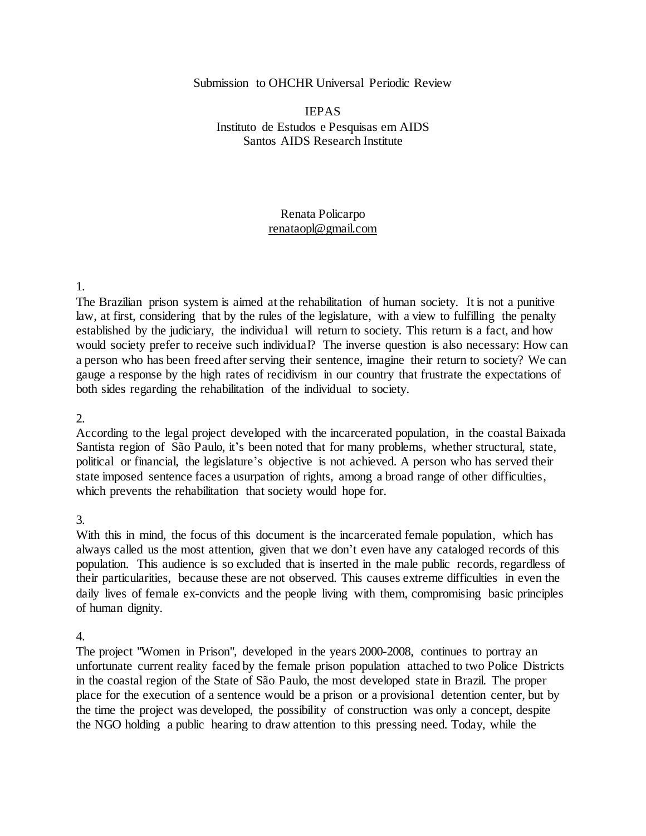#### Submission to OHCHR Universal Periodic Review

## IEPAS Instituto de Estudos e Pesquisas em AIDS Santos AIDS Research Institute

### Renata Policarpo renataopl@gmail.com

#### 1.

The Brazilian prison system is aimed at the rehabilitation of human society. It is not a punitive law, at first, considering that by the rules of the legislature, with a view to fulfilling the penalty established by the judiciary, the individual will return to society. This return is a fact, and how would society prefer to receive such individual? The inverse question is also necessary: How can a person who has been freed after serving their sentence, imagine their return to society? We can gauge a response by the high rates of recidivism in our country that frustrate the expectations of both sides regarding the rehabilitation of the individual to society.

#### 2.

According to the legal project developed with the incarcerated population, in the coastal Baixada Santista region of São Paulo, it's been noted that for many problems, whether structural, state, political or financial, the legislature's objective is not achieved. A person who has served their state imposed sentence faces a usurpation of rights, among a broad range of other difficulties, which prevents the rehabilitation that society would hope for.

#### 3.

With this in mind, the focus of this document is the incarcerated female population, which has always called us the most attention, given that we don't even have any cataloged records of this population. This audience is so excluded that is inserted in the male public records, regardless of their particularities, because these are not observed. This causes extreme difficulties in even the daily lives of female ex-convicts and the people living with them, compromising basic principles of human dignity.

#### 4.

The project "Women in Prison", developed in the years 2000-2008, continues to portray an unfortunate current reality faced by the female prison population attached to two Police Districts in the coastal region of the State of São Paulo, the most developed state in Brazil. The proper place for the execution of a sentence would be a prison or a provisional detention center, but by the time the project was developed, the possibility of construction was only a concept, despite the NGO holding a public hearing to draw attention to this pressing need. Today, while the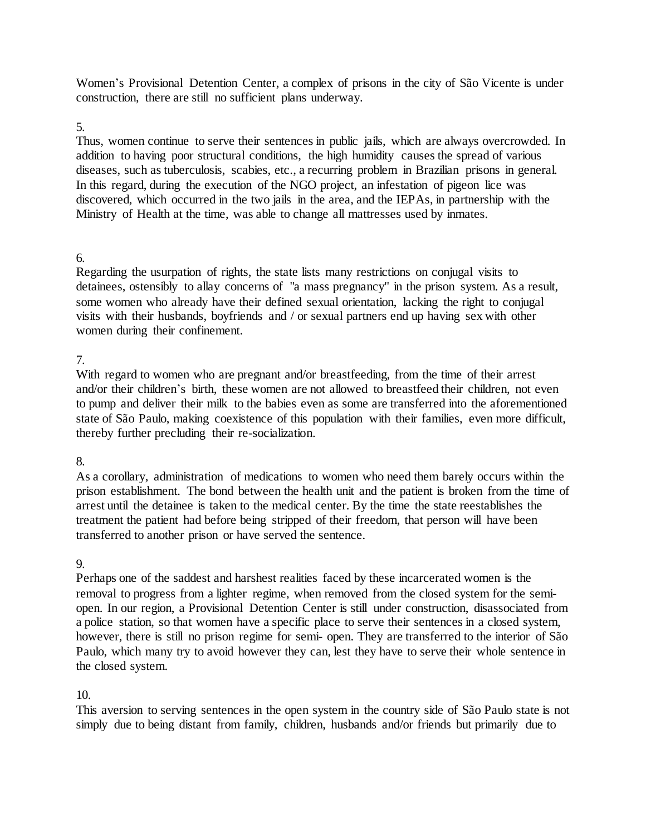Women's Provisional Detention Center, a complex of prisons in the city of São Vicente is under construction, there are still no sufficient plans underway.

### 5.

Thus, women continue to serve their sentences in public jails, which are always overcrowded. In addition to having poor structural conditions, the high humidity causes the spread of various diseases, such as tuberculosis, scabies, etc., a recurring problem in Brazilian prisons in general. In this regard, during the execution of the NGO project, an infestation of pigeon lice was discovered, which occurred in the two jails in the area, and the IEPAs, in partnership with the Ministry of Health at the time, was able to change all mattresses used by inmates.

## 6.

Regarding the usurpation of rights, the state lists many restrictions on conjugal visits to detainees, ostensibly to allay concerns of "a mass pregnancy" in the prison system. As a result, some women who already have their defined sexual orientation, lacking the right to conjugal visits with their husbands, boyfriends and / or sexual partners end up having sex with other women during their confinement.

## 7.

With regard to women who are pregnant and/or breastfeeding, from the time of their arrest and/or their children's birth, these women are not allowed to breastfeed their children, not even to pump and deliver their milk to the babies even as some are transferred into the aforementioned state of São Paulo, making coexistence of this population with their families, even more difficult, thereby further precluding their re-socialization.

### 8.

As a corollary, administration of medications to women who need them barely occurs within the prison establishment. The bond between the health unit and the patient is broken from the time of arrest until the detainee is taken to the medical center. By the time the state reestablishes the treatment the patient had before being stripped of their freedom, that person will have been transferred to another prison or have served the sentence.

### 9.

Perhaps one of the saddest and harshest realities faced by these incarcerated women is the removal to progress from a lighter regime, when removed from the closed system for the semiopen. In our region, a Provisional Detention Center is still under construction, disassociated from a police station, so that women have a specific place to serve their sentences in a closed system, however, there is still no prison regime for semi- open. They are transferred to the interior of São Paulo, which many try to avoid however they can, lest they have to serve their whole sentence in the closed system.

# 10.

This aversion to serving sentences in the open system in the country side of São Paulo state is not simply due to being distant from family, children, husbands and/or friends but primarily due to